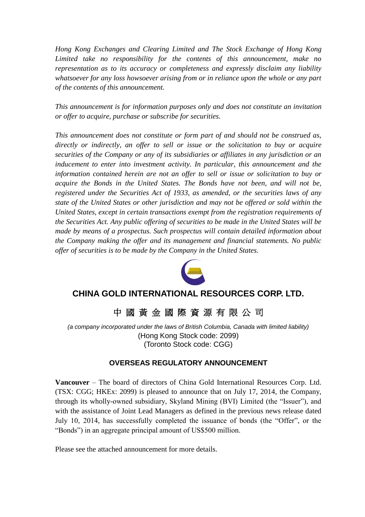*Hong Kong Exchanges and Clearing Limited and The Stock Exchange of Hong Kong Limited take no responsibility for the contents of this announcement, make no representation as to its accuracy or completeness and expressly disclaim any liability whatsoever for any loss howsoever arising from or in reliance upon the whole or any part of the contents of this announcement.*

*This announcement is for information purposes only and does not constitute an invitation or offer to acquire, purchase or subscribe for securities.*

*This announcement does not constitute or form part of and should not be construed as, directly or indirectly, an offer to sell or issue or the solicitation to buy or acquire securities of the Company or any of its subsidiaries or affiliates in any jurisdiction or an inducement to enter into investment activity. In particular, this announcement and the information contained herein are not an offer to sell or issue or solicitation to buy or acquire the Bonds in the United States. The Bonds have not been, and will not be, registered under the Securities Act of 1933, as amended, or the securities laws of any state of the United States or other jurisdiction and may not be offered or sold within the United States, except in certain transactions exempt from the registration requirements of the Securities Act. Any public offering of securities to be made in the United States will be made by means of a prospectus. Such prospectus will contain detailed information about the Company making the offer and its management and financial statements. No public offer of securities is to be made by the Company in the United States.*



# **CHINA GOLD INTERNATIONAL RESOURCES CORP. LTD.**

中 國 黃 金 國 際 資 源 有 限 公 司

*(a company incorporated under the laws of British Columbia, Canada with limited liability)* (Hong Kong Stock code: 2099) (Toronto Stock code: CGG)

# **OVERSEAS REGULATORY ANNOUNCEMENT**

**Vancouver** – The board of directors of China Gold International Resources Corp. Ltd. (TSX: CGG; HKEx: 2099) is pleased to announce that on July 17, 2014, the Company, through its wholly-owned subsidiary, Skyland Mining (BVI) Limited (the "Issuer"), and with the assistance of Joint Lead Managers as defined in the previous news release dated July 10, 2014, has successfully completed the issuance of bonds (the "Offer", or the "Bonds") in an aggregate principal amount of US\$500 million.

Please see the attached announcement for more details.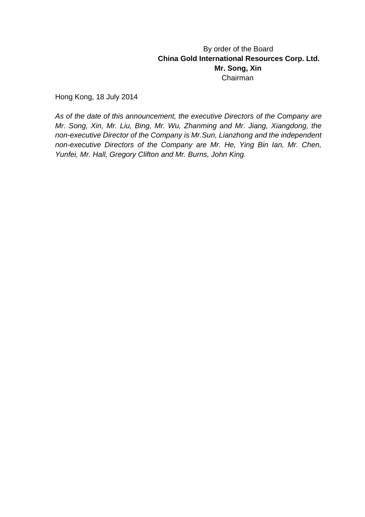# By order of the Board **China Gold International Resources Corp. Ltd. Mr. Song, Xin** Chairman

Hong Kong, 18 July 2014

*As of the date of this announcement, the executive Directors of the Company are Mr. Song, Xin, Mr. Liu, Bing, Mr. Wu, Zhanming and Mr. Jiang, Xiangdong, the non-executive Director of the Company is Mr.Sun, Lianzhong and the independent non-executive Directors of the Company are Mr. He, Ying Bin Ian, Mr. Chen, Yunfei, Mr. Hall, Gregory Clifton and Mr. Burns, John King.*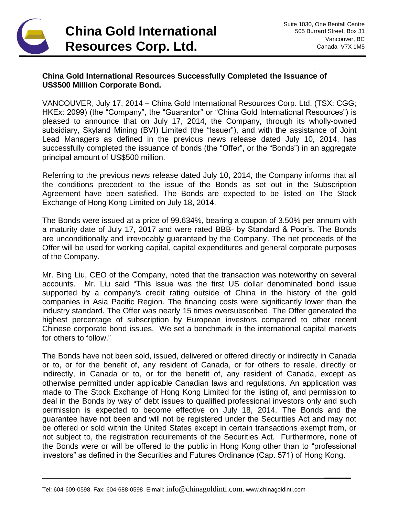

**\_\_\_\_\_\_**

## **China Gold International Resources Successfully Completed the Issuance of US\$500 Million Corporate Bond.**

VANCOUVER, July 17, 2014 – China Gold International Resources Corp. Ltd. (TSX: CGG; HKEx: 2099) (the "Company", the "Guarantor" or "China Gold International Resources") is pleased to announce that on July 17, 2014, the Company, through its wholly-owned subsidiary, Skyland Mining (BVI) Limited (the "Issuer"), and with the assistance of Joint Lead Managers as defined in the previous news release dated July 10, 2014, has successfully completed the issuance of bonds (the "Offer", or the "Bonds") in an aggregate principal amount of US\$500 million.

Referring to the previous news release dated July 10, 2014, the Company informs that all the conditions precedent to the issue of the Bonds as set out in the Subscription Agreement have been satisfied. The Bonds are expected to be listed on The Stock Exchange of Hong Kong Limited on July 18, 2014.

The Bonds were issued at a price of 99.634%, bearing a coupon of 3.50% per annum with a maturity date of July 17, 2017 and were rated BBB- by Standard & Poor's. The Bonds are unconditionally and irrevocably guaranteed by the Company. The net proceeds of the Offer will be used for working capital, capital expenditures and general corporate purposes of the Company.

Mr. Bing Liu, CEO of the Company, noted that the transaction was noteworthy on several accounts. Mr. Liu said "This issue was the first US dollar denominated bond issue supported by a company's credit rating outside of China in the history of the gold companies in Asia Pacific Region. The financing costs were significantly lower than the industry standard. The Offer was nearly 15 times oversubscribed. The Offer generated the highest percentage of subscription by European investors compared to other recent Chinese corporate bond issues. We set a benchmark in the international capital markets for others to follow."

The Bonds have not been sold, issued, delivered or offered directly or indirectly in Canada or to, or for the benefit of, any resident of Canada, or for others to resale, directly or indirectly, in Canada or to, or for the benefit of, any resident of Canada, except as otherwise permitted under applicable Canadian laws and regulations. An application was made to The Stock Exchange of Hong Kong Limited for the listing of, and permission to deal in the Bonds by way of debt issues to qualified professional investors only and such permission is expected to become effective on July 18, 2014. The Bonds and the guarantee have not been and will not be registered under the Securities Act and may not be offered or sold within the United States except in certain transactions exempt from, or not subject to, the registration requirements of the Securities Act. Furthermore, none of the Bonds were or will be offered to the public in Hong Kong other than to "professional investors" as defined in the Securities and Futures Ordinance (Cap. 571) of Hong Kong.